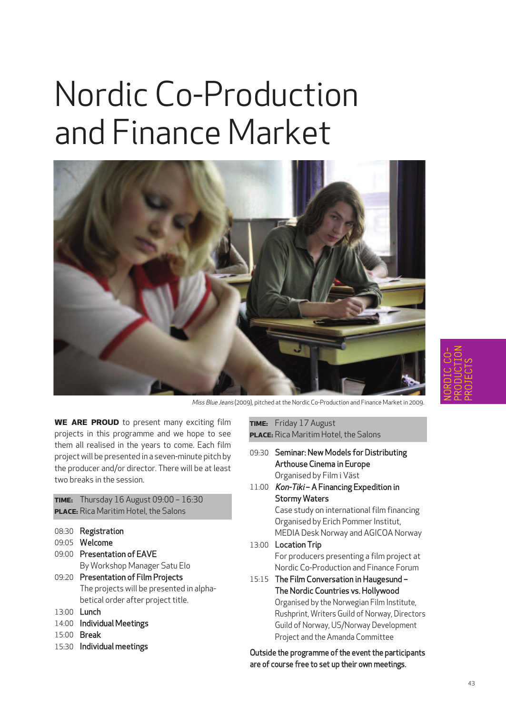# Nordic Co-Production and Finance Market



NORDIC CO-PRODUCTION PROJECTS

Miss Blue Jeans (2009), pitched at the Nordic Co-Production and Finance Market in 2009.

**We are PrOuD** to present many exciting film projects in this programme and we hope to see them all realised in the years to come. Each film project will be presented in a seven-minute pitch by the producer and/or director. There will be at least two breaks in the session.

| TIME: | Thursday 16 August 09:00 - 16:30<br><b>PLACE:</b> Rica Maritim Hotel, the Salons |
|-------|----------------------------------------------------------------------------------|
| 08:30 | Registration                                                                     |
|       | 09:05 Welcome                                                                    |
| 09:00 | <b>Presentation of EAVE</b>                                                      |
|       | By Workshop Manager Satu Elo                                                     |
| 09:20 | <b>Presentation of Film Projects</b>                                             |
|       | The projects will be presented in alpha-                                         |
|       | betical order after project title.                                               |
| 13:00 | Lunch                                                                            |
| 14:00 | Individual Meetings                                                              |
| 15:00 | <b>Break</b>                                                                     |
| 15:30 | Individual meetings                                                              |

**time:** Friday 17 August **PLACE:** Rica Maritim Hotel, the Salons

- 09:30 Seminar: New Models for Distributing Arthouse Cinema in Europe Organised by Film i Väst
- 11:00 Kon-Tiki A Financing Expedition in Stormy Waters

Case study on international film financing Organised by Erich Pommer Institut, MEDIA Desk Norway and AGICOA Norway

- 13:00 Location Trip For producers presenting a film project at Nordic Co-Production and Finance Forum
- 15:15 The Film Conversation in Haugesund The Nordic Countries vs. Hollywood Organised by the Norwegian Film Institute, Rushprint, Writers Guild of Norway, Directors Guild of Norway, US/Norway Development Project and the Amanda Committee

Outside the programme of the event the participants are of course free to set up their own meetings.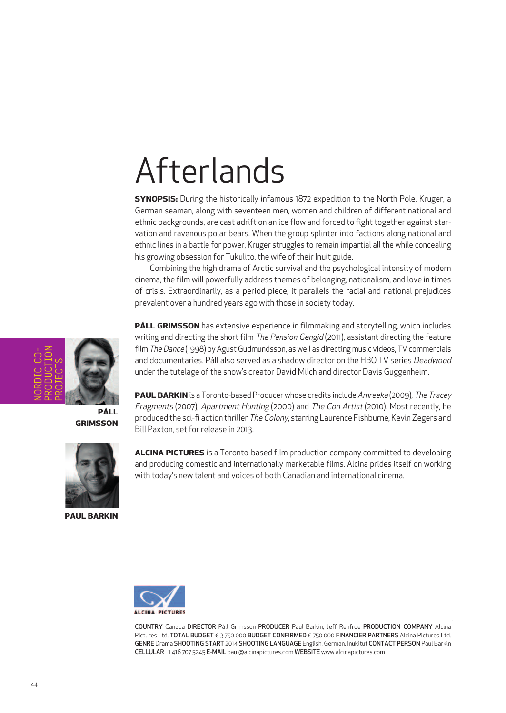# **Afterlands**

**synOPsis:** During the historically infamous 1872 expedition to the North Pole, Kruger, a German seaman, along with seventeen men, women and children of different national and ethnic backgrounds, are cast adrift on an ice flow and forced to fight together against starvation and ravenous polar bears. When the group splinter into factions along national and ethnic lines in a battle for power, Kruger struggles to remain impartial all the while concealing his growing obsession for Tukulito, the wife of their Inuit guide.

Combining the high drama of Arctic survival and the psychological intensity of modern cinema, the film will powerfully address themes of belonging, nationalism, and love in times of crisis. Extraordinarily, as a period piece, it parallels the racial and national prejudices prevalent over a hundred years ago with those in society today.

**Páll grimssOn** has extensive experience in filmmaking and storytelling, which includes writing and directing the short film The Pension Gengid (2011), assistant directing the feature film The Dance (1998) by Agust Gudmundsson, as well as directing music videos, TV commercials and documentaries. Páll also served as a shadow director on the HBO TV series Deadwood under the tutelage of the show's creator David Milch and director Davis Guggenheim.

**PAUL BARKIN** is a Toronto-based Producer whose credits include Amreeka (2009), The Tracey Fragments (2007), Apartment Hunting (2000) and The Con Artist (2010). Most recently, he produced the sci-fi action thriller The Colony, starring Laurence Fishburne, Kevin Zegers and Bill Paxton, set for release in 2013.



**Paul barKin**

**alcina Pictures** is a Toronto-based film production company committed to developing and producing domestic and internationally marketable films. Alcina prides itself on working with today's new talent and voices of both Canadian and international cinema.



COUNTRY Canada DIRECTOR Páll Grimsson PRODUCER Paul Barkin, Jeff Renfroe PRODUCTION COMPANY Alcina Pictures Ltd. TOTAL BUDGET € 3.750.000 BUDGET CONFIRMED € 750.000 FINANCIER PARTNERS Alcina Pictures Ltd. GENRE Drama SHOOTING START 2014 SHOOTING LANGUAGE English, German, Inukitut CONTACT PERSON Paul Barkin CELLULAR +1 416 707 5245 E-MAIL paul@alcinapictures.com WEBSITE www.alcinapictures.com



**Páll grimssOn**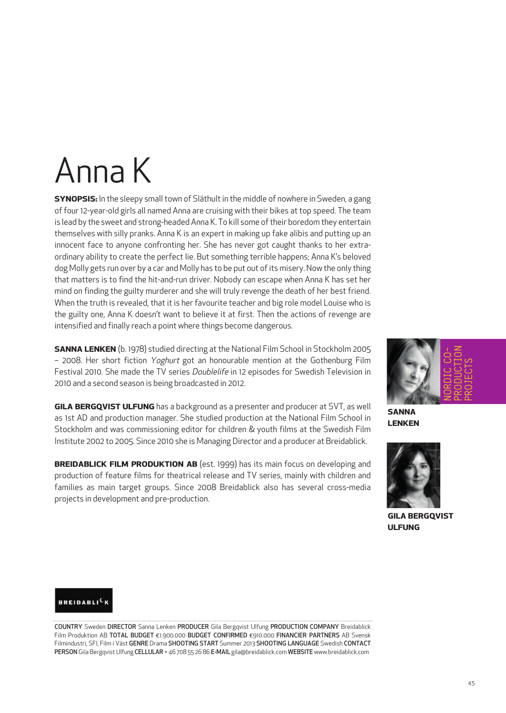### Anna K

**SYNOPSIS:** In the sleepy small town of Släthult in the middle of nowhere in Sweden, a gang of four 12-year-old girls all named Anna are cruising with their bikes at top speed. The team is lead by the sweet and strong-headed Anna K. To kill some of their boredom they entertain themselves with silly pranks. Anna K is an expert in making up fake alibis and putting up an innocent face to anyone confronting her. She has never got caught thanks to her extraordinary ability to create the perfect lie. But something terrible happens; Anna K's beloved dog Molly gets run over by a car and Molly has to be put out ofits misery. Now the only thing that matters is to find the hit-and-run driver. Nobody can escape when Anna K has set her mind on finding the guilty murderer and she will truly revenge the death of her best friend. When the truth is revealed, that it is her favourite teacher and big role model Louise who is the guilty one, Anna K doesn't want to believe it at first. Then the actions of revenge are intensified and finally reach a point where things become dangerous.

**SANNA LENKEN** (b. 1978) studied directing at the National Film School in Stockholm 2005 – 2008. Her short fiction Yoghurt got an honourable mention at the Gothenburg Film Festival 2010. She made the TV series *Doublelife* in 12 episodes for Swedish Television in 2010 and a second season is being broadcasted in 2012.

**gila bergQvist ulfung** has a background as a presenter and producer at SVT, as well as 1st AD and production manager. She studied production at the National Film School in Stockholm and was commissioning editor for children & youth films at the Swedish Film Institute 2002 to 2005. Since 2010 she is Managing Director and a producer at Breidablick.

**breiDablicK film PrODuKtiOn ab** (est. 1999) has its main focus on developing and production of feature films for theatrical release and TV series, mainly with children and families as main target groups. Since 2008 Breidablick also has several cross-media projects in development and pre-production.



**sanna lenKen**



**gila bergQvist ulfung**



COUNTRY Sweden DIRECTOR Sanna Lenken PRODUCER Gila Bergqvist Ulfung PRODUCTION COMPANY Breidablick Film Produktion AB TOTAL BUDGET €1.900.000 BUDGET CONFIRMED €910.000 FINANCIER PARTNERS AB Svensk Filmindustri, SFI, Film i Väst GENRE Drama SHOOTING START Summer 2013 SHOOTING LANGUAGE Swedish CONTACT PERSON Gila Bergqvist Ulfung CELLULAR + 46 708 55 26 86 E-MAIL gila@breidablick.com WEBSITE www.breidablick.com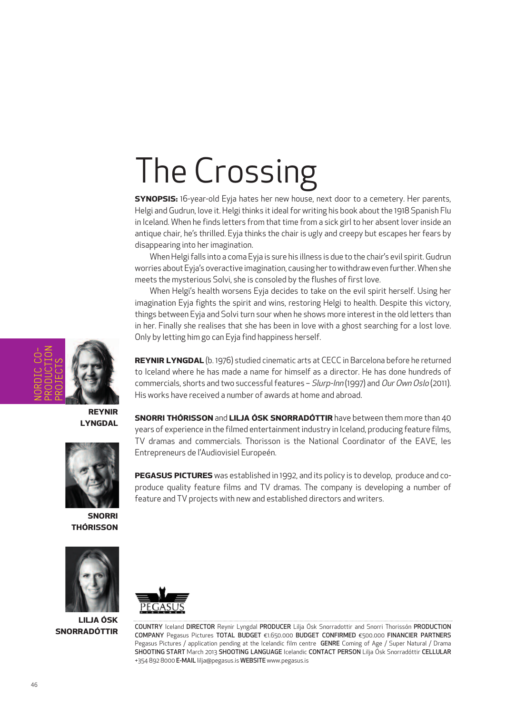# The Crossing

**synOPsis:** 16-year-old Eyja hates her new house, next door to a cemetery. Her parents, Helgi and Gudrun, love it. Helgi thinks it ideal for writing his book about the 1918 Spanish Flu in Iceland. When he finds letters from that time from a sick girl to her absent lover inside an antique chair, he's thrilled. Eyja thinks the chair is ugly and creepy but escapes her fears by disappearing into her imagination.

When Helgi falls into a coma Eyja is sure his illness is due to the chair's evil spirit. Gudrun worries about Eyja's overactive imagination, causing herto withdraw even further.When she meets the mysterious Solvi, she is consoled by the flushes of first love.

When Helgi's health worsens Eyja decides to take on the evil spirit herself. Using her imagination Eyja fights the spirit and wins, restoring Helgi to health. Despite this victory, things between Eyja and Solvi turn sour when he shows more interest in the old letters than in her. Finally she realises that she has been in love with a ghost searching for a lost love. Only by letting him go can Eyja find happiness herself.

NORDIC CO-PRODUCTION PROJECTS

> **reynir lyngDal**



**snOrri thórissOn**



**lilJa ósK SNORRADÓTTIR** 

**reynir lyngDal** (b. 1976) studied cinematic arts at CECC in Barcelona before he returned to Iceland where he has made a name for himself as a director. He has done hundreds of commercials, shorts and two successful features - Slurp-Inn (1997) and Our Own Oslo (2011). His works have received a number of awards at home and abroad.

**snOrri thórissOn** and **lilJa ósK snOrraDóttir** have between them more than 40 years of experience in the filmed entertainmentindustry in Iceland, producing feature films, TV dramas and commercials. Thorisson is the National Coordinator of the EAVE, les Entrepreneurs de l'Audiovisiel Europeén.

**Pegasus Pictures** was established in 1992, and its policy is to develop, produce and coproduce quality feature films and TV dramas. The company is developing a number of feature and TV projects with new and established directors and writers.



COUNTRY Iceland DIRECTOR Reynir Lyngdal PRODUCER Lilja Ósk Snorradottir and Snorri Thorissón PRODUCTION COMPANY Pegasus Pictures TOTAL BUDGET €1.650.000 BUDGET CONFIRMED €500.000 FINANCIER PARTNERS Pegasus Pictures / application pending at the Icelandic film centre GENRE Coming of Age / Super Natural / Drama SHOOTING START March 2013 SHOOTING LANGUAGE Icelandic CONTACT PERSON Lilja Ósk Snorradóttir CELLULAR +354 892 8000 E-MAIL lilja@pegasus.is WEBSITE www.pegasus.is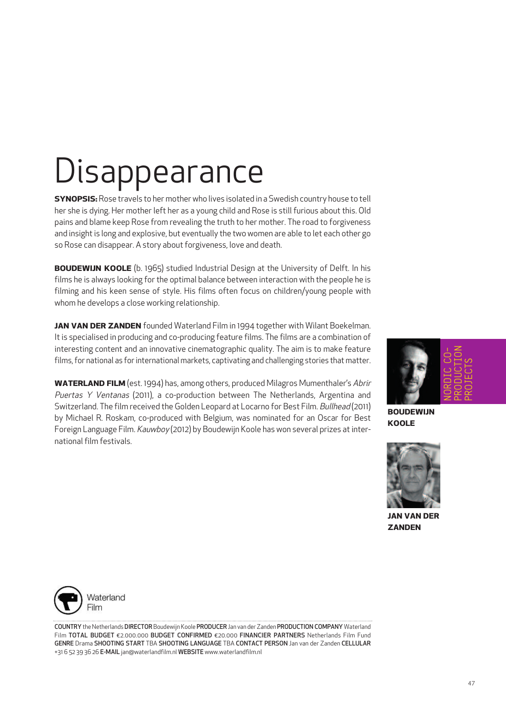# Disappearance

**synOPsis:**Rose travels to her mother who lives isolated in a Swedish country house to tell her she is dying. Her mother left her as a young child and Rose is still furious about this. Old pains and blame keep Rose from revealing the truth to her mother. The road to forgiveness and insight is long and explosive, but eventually the two women are able to let each other go so Rose can disappear. A story about forgiveness, love and death.

**BOUDEWIJN KOOLE** (b. 1965) studied Industrial Design at the University of Delft. In his films he is always looking for the optimal balance between interaction with the people he is filming and his keen sense of style. His films often focus on children/young people with whom he develops a close working relationship.

**Jan van Der ZanDen** founded Waterland Film in 1994 together with Wilant Boekelman. It is specialised in producing and co-producing feature films. The films are a combination of interesting content and an innovative cinematographic quality. The aim is to make feature films, for national as for international markets, captivating and challenging stories that matter.

**WATERLAND FILM** (est. 1994) has, among others, produced Milagros Mumenthaler's Abrir Puertas Y Ventanas (2011), a co-production between The Netherlands, Argentina and Switzerland. The film received the Golden Leopard at Locarno for Best Film. Bullhead (2011) by Michael R. Roskam, co-produced with Belgium, was nominated for an Oscar for Best Foreign Language Film. Kauwboy (2012) by Boudewijn Koole has won several prizes at international film festivals.



**BOUDEWIJN KOOle**



**Jan van Der ZanDen**



COUNTRY the Netherlands DIRECTOR Boudewijn Koole PRODUCER Jan van der Zanden PRODUCTION COMPANY Waterland Film TOTAL BUDGET €2.000.000 BUDGET CONFIRMED €20.000 FINANCIER PARTNERS Netherlands Film Fund GENRE Drama SHOOTING START TBA SHOOTING LANGUAGE TBA CONTACT PERSON Jan van der Zanden CELLULAR +31 6 52 39 36 26 E-MAIL jan@waterlandfilm.nl WEBSITE www.waterlandfilm.nl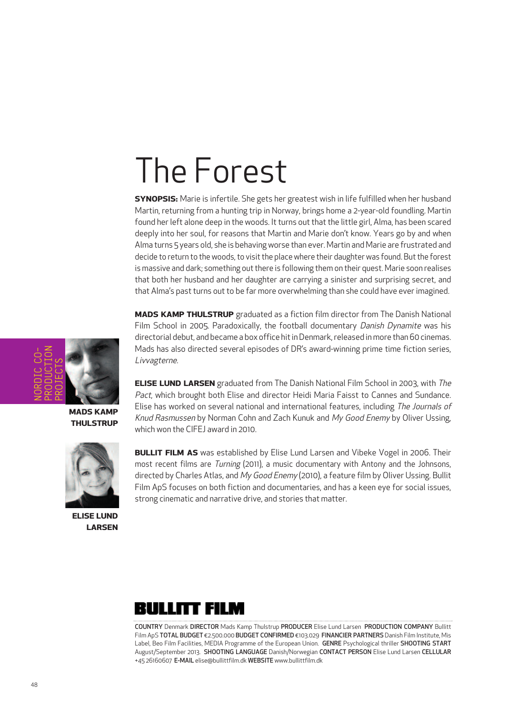### The Forest

**synOPsis:** Marie is infertile. She gets her greatest wish in life fulfilled when her husband Martin, returning from a hunting trip in Norway, brings home a 2-year-old foundling. Martin found her left alone deep in the woods. It turns out that the little girl, Alma, has been scared deeply into her soul, for reasons that Martin and Marie don't know. Years go by and when Alma turns 5 years old, she is behaving worse than ever. Martin and Marie are frustrated and decide to return to the woods, to visit the place where their daughter was found. But the forest is massive and dark; something out there is following them on their quest. Marie soon realises that both her husband and her daughter are carrying a sinister and surprising secret, and that Alma's past turns out to be far more overwhelming than she could have ever imagined.

**maDs KamP thulstruP** graduated as a fiction film director from The Danish National Film School in 2005. Paradoxically, the football documentary Danish Dynamite was his directorial debut, and became a box office hit in Denmark, released in more than 60 cinemas. Mads has also directed several episodes of DR's award-winning prime time fiction series, Livvagterne.

**ELISE LUND LARSEN** graduated from The Danish National Film School in 2003, with The Pact, which brought both Elise and director Heidi Maria Faisst to Cannes and Sundance. Elise has worked on several national and international features, including The Journals of Knud Rasmussen by Norman Cohn and Zach Kunuk and My Good Enemy by Oliver Ussing, which won the CIFEJ award in 2010.

**bullit film as** was established by Elise Lund Larsen and Vibeke Vogel in 2006. Their most recent films are Turning (2011), a music documentary with Antony and the Johnsons, directed by Charles Atlas, and My Good Enemy (2010), a feature film by Oliver Ussing. Bullit Film ApS focuses on both fiction and documentaries, and has a keen eye for social issues, strong cinematic and narrative drive, and stories that matter.



COUNTRY Denmark DIRECTOR Mads Kamp Thulstrup PRODUCER Elise Lund Larsen PRODUCTION COMPANY Bullitt Film ApS TOTAL BUDGET €2.500.000 BUDGET CONFIRMED €103.029 FINANCIER PARTNERS Danish Film Institute, Mis Label, Beo Film Facilities, MEDIA Programme of the European Union. GENRE Psychological thriller SHOOTING START August/September 2013. SHOOTING LANGUAGE Danish/Norwegian CONTACT PERSON Elise Lund Larsen CELLULAR +45 26160607 E-MAIL elise@bullittfilm.dk WEBSITE www.bullittfilm.dk



**maDs KamP thulstruP**



**elise lunD larsen**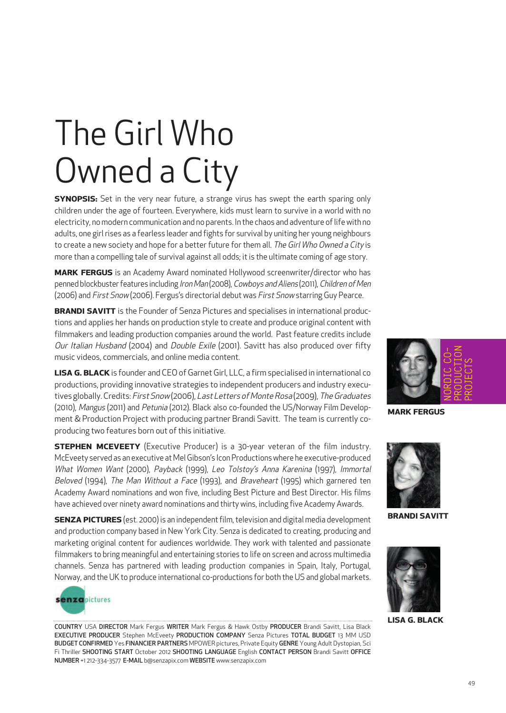# The Girl Who Owned a City

**SYNOPSIS:** Set in the very near future, a strange virus has swept the earth sparing only children under the age of fourteen. Everywhere, kids must learn to survive in a world with no electricity, no modern communication and no parents. In the chaos and adventure of life with no adults, one girl rises as a fearless leader and fights for survival by uniting her young neighbours to create a new society and hope for a better future for them all. The Girl Who Owned a City is more than a compelling tale of survival against all odds; it is the ultimate coming of age story.

**marK fergus** is an Academy Award nominated Hollywood screenwriter/director who has penned blockbuster features including Iron Man (2008), Cowboys and Aliens (2011), Children of Men (2006) and First Snow (2006). Fergus's directorial debut was First Snow starring Guy Pearce.

**BRANDI SAVITT** is the Founder of Senza Pictures and specialises in international productions and applies her hands on production style to create and produce original content with filmmakers and leading production companies around the world. Past feature credits include Our Italian Husband (2004) and Double Exile (2001). Savitt has also produced over fifty music videos, commercials, and online media content.

**lisa g. blacK**is founder and CEOofGarnetGirl, LLC, a firm specialised in international co productions, providing innovative strategies to independent producers and industry executives globally. Credits: First Snow (2006), Last Letters of Monte Rosa (2009), The Graduates (2010), Mangus (2011) and Petunia (2012). Black also co-founded the US/Norway Film Development & Production Project with producing partner Brandi Savitt. The team is currently coproducing two features born out of this initiative.

**STEPHEN MCEVEETY** (Executive Producer) is a 30-year veteran of the film industry. McEveety served as an executive at MelGibson's IconProductions where he executive-produced What Women Want (2000), Payback (1999), Leo Tolstoy's Anna Karenina (1997), Immortal Beloved (1994), The Man Without a Face (1993), and Braveheart (1995) which garnered ten Academy Award nominations and won five, including Best Picture and Best Director. His films have achieved over ninety award nominations and thirty wins, including five Academy Awards.

**SENZA PICTURES** (est. 2000) is an independent film, television and digital media development and production company based in New York City. Senza is dedicated to creating, producing and marketing original content for audiences worldwide. They work with talented and passionate filmmakers to bring meaningful and entertaining stories to life on screen and across multimedia channels. Senza has partnered with leading production companies in Spain, Italy, Portugal, Norway, and the UK to produce international co-productions for both the US and global markets.



COUNTRY USA DIRECTOR Mark Fergus WRITER Mark Fergus & Hawk Ostby PRODUCER Brandi Savitt, Lisa Black EXECUTIVE PRODUCER Stephen McEveety PRODUCTION COMPANY Senza Pictures TOTAL BUDGET 13 MM USD BUDGET CONFIRMED Yes FINANCIER PARTNERS MPOWER pictures, Private Equity GENRE Young Adult Dystopian, Sci Fi Thriller SHOOTING START October 2012 SHOOTING LANGUAGE English CONTACT PERSON Brandi Savitt OFFICE NUMBER +1 212-334-3577 E-MAIL b@senzapix.com WEBSITE www.senzapix.com



**marK fergus**



**branDi savitt**



**lisa g. blacK**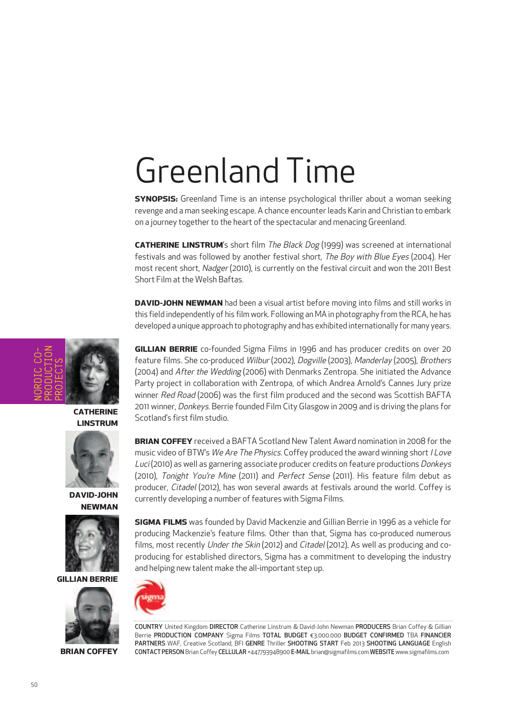# Greenland Time

**synOPsis:** Greenland Time is an intense psychological thriller about a woman seeking revenge and a man seeking escape. A chance encounterleads Karin and Christian to embark on a journey together to the heart of the spectacular and menacing Greenland.

**CATHERINE LINSTRUM's** short film *The Black Dog* (1999) was screened at international festivals and was followed by another festival short, The Boy with Blue Eyes (2004). Her most recent short, Nadger (2010), is currently on the festival circuit and won the 2011 Best Short Film at the Welsh Baftas.

**DaviD-JOhn neWman** had been a visual artist before moving into films and still works in this field independently of his film work. Following an MA in photography from the RCA, he has developed a unique approach to photography and has exhibited internationally for many years.

**gillian berrie** co-founded Sigma Films in 1996 and has producer credits on over 20 feature films. She co-produced Wilbur (2002), Dogville (2003), Manderlay (2005), Brothers (2004) and After the Wedding (2006) with Denmarks Zentropa. She initiated the Advance Party project in collaboration with Zentropa, of which Andrea Arnold's Cannes Jury prize winner Red Road (2006) was the first film produced and the second was Scottish BAFTA 2011 winner, Donkeys. Berrie founded Film City Glasgow in 2009 and is driving the plans for Scotland's first film studio.

**BRIAN COFFEY** received a BAFTA Scotland New Talent Award nomination in 2008 for the music video of BTW's We Are The Physics. Coffey produced the award winning short I Love Luci (2010) as well as garnering associate producer credits on feature productions Donkeys (2010), Tonight You're Mine (2011) and Perfect Sense (2011). His feature film debut as producer, Citadel (2012), has won several awards at festivals around the world. Coffey is currently developing a number of features with Sigma Films.

**sigma films** was founded by David Mackenzie and Gillian Berrie in 1996 as a vehicle for producing Mackenzie's feature films. Other than that, Sigma has co-produced numerous films, most recently Under the Skin (2012) and Citadel (2012). As well as producing and coproducing for established directors, Sigma has a commitment to developing the industry and helping new talent make the all-important step up.



COUNTRY United Kingdom DIRECTOR Catherine Linstrum & David-John Newman PRODUCERS Brian Coffey & Gillian Berrie PRODUCTION COMPANY Sigma Films TOTAL BUDGET €3.000.000 BUDGET CONFIRMED TBA FINANCIER PARTNERS WAF, Creative Scotland, BFI GENRE Thriller SHOOTING START Feb 2013 SHOOTING LANGUAGE English CONTACT PERSON Brian Coffey CELLULAR +447793948900 E-MAIL brian@sigmafilms.com WEBSITE www.sigmafilms.com



**catherine linstrum**



**DaviD-JOhn neWman**



**gillian berrie**



**brian cOffey**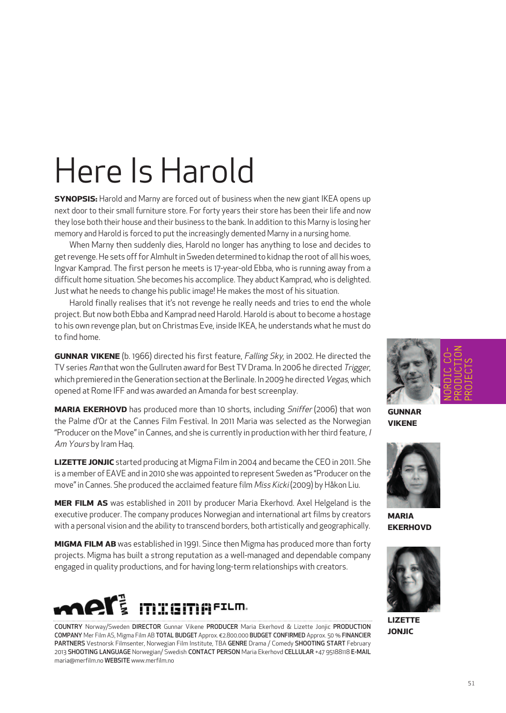# Here Is Harold

**synOPsis:** Harold and Marny are forced out of business when the new giant IKEA opens up next door to their small furniture store. For forty years their store has been their life and now they lose both their house and their business to the bank. In addition to this Marny is losing her memory and Harold is forced to put the increasingly demented Marny in a nursing home.

When Marny then suddenly dies, Harold no longer has anything to lose and decides to get revenge. He sets off for Almhult in Sweden determined to kidnap the root of all his woes, Ingvar Kamprad. The first person he meets is 17-year-old Ebba, who is running away from a difficult home situation. She becomes his accomplice. They abduct Kamprad, who is delighted. Just what he needs to change his public image! He makes the most of his situation.

Harold finally realises that it's not revenge he really needs and tries to end the whole project. But now both Ebba and Kamprad need Harold. Harold is about to become a hostage to his own revenge plan, but on Christmas Eve, inside IKEA, he understands what he must do to find home.

**GUNNAR VIKENE** (b. 1966) directed his first feature, Falling Sky, in 2002. He directed the TV series Ran that won the Gullruten award for Best TV Drama. In 2006 he directed Trigger, which premiered in the Generation section at the Berlinale. In 2009 he directed Vegas, which opened at Rome IFF and was awarded an Amanda for best screenplay.

**MARIA EKERHOVD** has produced more than 10 shorts, including *Sniffer* (2006) that won the Palme d'Or at the Cannes Film Festival. In 2011 Maria was selected as the Norwegian "Producer on the Move" in Cannes, and she is currently in production with herthird feature, I Am Yours by Iram Haq.

**liZette JOnJic** started producing at Migma Film in 2004 and became the CEO in 2011. She is a member of EAVE and in 2010 she was appointed to represent Sweden as "Producer on the move" in Cannes. She produced the acclaimed feature film Miss Kicki (2009) by Håkon Liu.

**mer film as** was established in 2011 by producer Maria Ekerhovd. Axel Helgeland is the executive producer. The company produces Norwegian and international art films by creators with a personal vision and the ability to transcend borders, both artistically and geographically.

**migma film ab** was established in 1991. Since then Migma has produced more than forty projects. Migma has built a strong reputation as a well-managed and dependable company engaged in quality productions, and for having long-term relationships with creators.



COUNTRY Norway/Sweden DIRECTOR Gunnar Vikene PRODUCER Maria Ekerhovd & Lizette Jonjic PRODUCTION COMPANY Mer Film AS, Migma Film AB TOTAL BUDGET Approx. €2.800.000 BUDGET CONFIRMED Approx. 50 % FINANCIER PARTNERS Vestnorsk Filmsenter, Norwegian Film Institute, TBA GENRE Drama / Comedy SHOOTING START February 2013 SHOOTING LANGUAGE Norwegian/ Swedish CONTACT PERSON Maria Ekerhovd CELLULAR +47 95188118 E-MAIL maria@merfilm.no WEBSITE www.merfilm.no



**gunnar viKene**



**maria eKerhOvD**



**liZette JOnJic**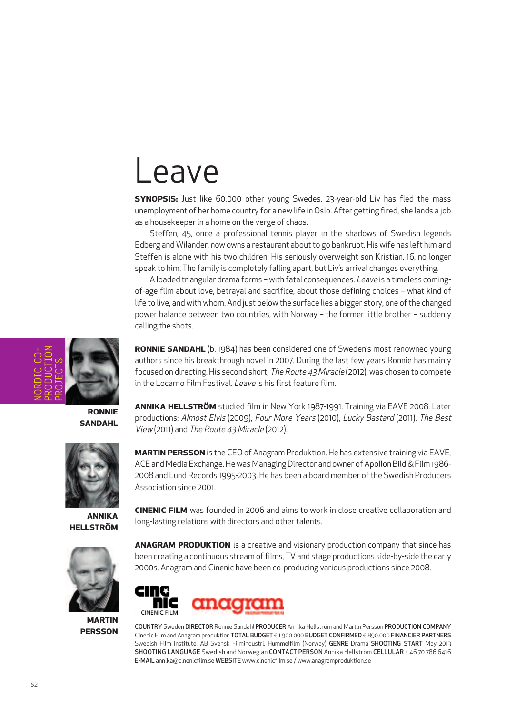### Leave

**synOPsis:** Just like 60,000 other young Swedes, 23-year-old Liv has fled the mass unemployment of her home country for a new life in Oslo. After getting fired, she lands a job as a housekeeper in a home on the verge of chaos.

Steffen, 45, once a professional tennis player in the shadows of Swedish legends Edberg and Wilander, now owns a restaurant about to go bankrupt. His wife has left him and Steffen is alone with his two children. His seriously overweight son Kristian, 16, no longer speak to him. The family is completely falling apart, but Liv's arrival changes everything.

A loaded triangular drama forms - with fatal consequences. Leave is a timeless comingof-age film about love, betrayal and sacrifice, about those defining choices – what kind of life to live, and with whom. And just below the surface lies a bigger story, one of the changed power balance between two countries, with Norway – the former little brother – suddenly calling the shots.

**rOnnie sanDahl** (b. 1984) has been considered one of Sweden's most renowned young authors since his breakthrough novel in 2007. During the last few years Ronnie has mainly focused on directing. His second short, The Route 43 Miracle (2012), was chosen to compete in the Locarno Film Festival. Leave is his first feature film.

**rOnnie SANDAHL** 

**anniKa hellstrÖm**



**martin PerssOn**

**anniKa hellstrÖm** studied film in New York 1987-1991. Training via EAVE 2008. Later productions: Almost Elvis (2009), Four More Years (2010), Lucky Bastard (2011), The Best View (2011) and The Route 43 Miracle (2012).

**martin PerssOn** is the CEO of Anagram Produktion. He has extensive training via EAVE, ACE and Media Exchange. He was Managing Director and owner of Apollon Bild & Film 1986-2008 and Lund Records 1995-2003. He has been a board member of the Swedish Producers Association since 2001.

**cinenic film** was founded in 2006 and aims to work in close creative collaboration and long-lasting relations with directors and other talents.

**ANAGRAM PRODUKTION** is a creative and visionary production company that since has been creating a continuous stream of films, TV and stage productions side-by-side the early 2000s. Anagram and Cinenic have been co-producing various productions since 2008.



COUNTRY Sweden DIRECTOR Ronnie Sandahl PRODUCER Annika Hellström and Martin Persson PRODUCTION COMPANY Cinenic Film and Anagram produktion TOTAL BUDGET € 1.900.000 BUDGET CONFIRMED € 890.000 FINANCIER PARTNERS Swedish Film Institute, AB Svensk Filmindustri, Hummelfilm (Norway) GENRE Drama SHOOTING START May 2013 SHOOTING LANGUAGE Swedish and Norwegian CONTACT PERSON Annika Hellström CELLULAR + 46 70 786 6416 E-MAIL annika@cinenicfilm.se WEBSITE www.cinenicfilm.se / www.anagramproduktion.se



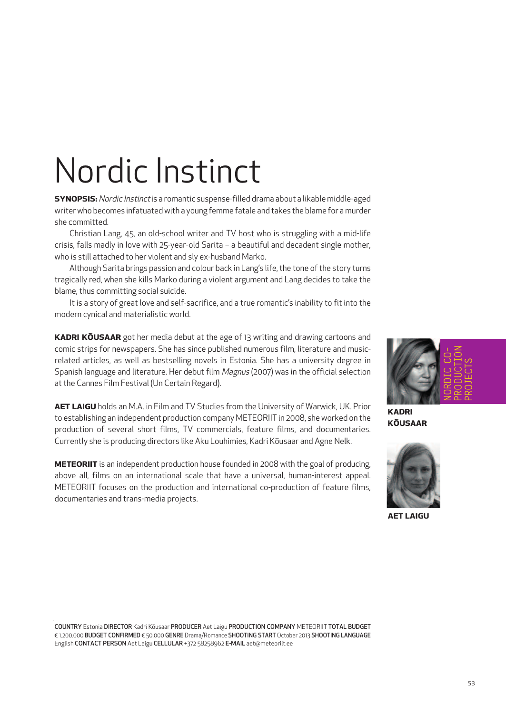# Nordic Instinct

**synOPsis:**Nordic Instinctis a romantic suspense-filled drama about a likablemiddle-aged writer who becomes infatuated with a young femme fatale and takes the blame for amurder she committed.

Christian Lang, 45, an old-school writer and TV host who is struggling with a mid-life crisis, falls madly in love with 25-year-old Sarita – a beautiful and decadent single mother, who is still attached to her violent and sly ex-husband Marko.

Although Sarita brings passion and colour back in Lang's life, the tone of the story turns tragically red, when she kills Marko during a violent argument and Lang decides to take the blame, thus committing social suicide.

It is a story of great love and self-sacrifice, and a true romantic's inability to fit into the modern cynical and materialistic world.

**KaDri KÕusaar** got her media debut at the age of 13 writing and drawing cartoons and comic strips for newspapers. She has since published numerous film, literature and musicrelated articles, as well as bestselling novels in Estonia. She has a university degree in Spanish language and literature. Her debut film Magnus (2007) was in the official selection at the Cannes Film Festival (Un Certain Regard).

**aet laigu** holds an M.A. in Film and TV Studies from the University of Warwick, UK. Prior to establishing an independent production company METEORIIT in 2008, she worked on the production of several short films, TV commercials, feature films, and documentaries. Currently she is producing directors like Aku Louhimies, Kadri Kõusaar and Agne Nelk.

**METEORIIT** is an independent production house founded in 2008 with the goal of producing, above all, films on an international scale that have a universal, human-interest appeal. METEORIIT focuses on the production and international co-production of feature films, documentaries and trans-media projects.



**KADPI KÕusaar**



**aet laigu**

COUNTRY Estonia DIRECTOR Kadri Kõusaar PRODUCER Aet Laigu PRODUCTION COMPANY METEORIIT TOTAL BUDGET € 1.200.000 BUDGET CONFIRMED € 50.000 GENRE Drama/Romance SHOOTING START October 2013 SHOOTING LANGUAGE English CONTACT PERSON Aet Laigu CELLULAR +372 58258962 E-MAIL aet@meteoriit.ee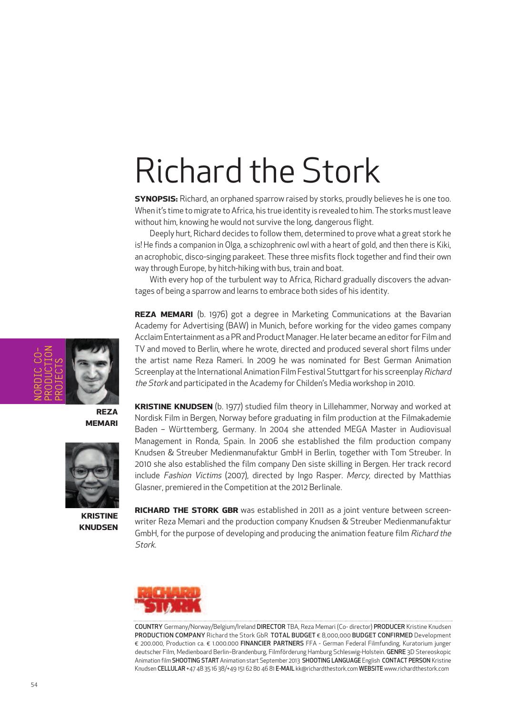# Richard the Stork

**synOPsis:** Richard, an orphaned sparrow raised by storks, proudly believes he is one too. When it's time to migrate to Africa, his true identity is revealed to him. The storks must leave without him, knowing he would not survive the long, dangerous flight.

Deeply hurt, Richard decides to follow them, determined to prove what a great stork he is! He finds a companion in Olga, a schizophrenic owl with a heart of gold, and then there is Kiki, an acrophobic, disco-singing parakeet. These three misfits flock together and find their own way through Europe, by hitch-hiking with bus, train and boat.

With every hop of the turbulent way to Africa, Richard gradually discovers the advantages of being a sparrow and learns to embrace both sides of his identity.

**reZa memari** (b. 1976) got a degree in Marketing Communications at the Bavarian Academy for Advertising (BAW) in Munich, before working for the video games company Acclaim Entertainment as a PR and Product Manager. He later became an editor for Film and TV and moved to Berlin, where he wrote, directed and produced several short films under the artist name Reza Rameri. In 2009 he was nominated for Best German Animation Screenplay at the International Animation Film Festival Stuttgart for his screenplay Richard the Stork and participated in the Academy for Childen's Media workshop in 2010.

**reZa memari**



**Kristine KnuDsen**

**Kristine KnuDsen** (b. 1977) studied film theory in Lillehammer, Norway and worked at Nordisk Film in Bergen, Norway before graduating in film production at the Filmakademie Baden – Württemberg, Germany. In 2004 she attended MEGA Master in Audiovisual Management in Ronda, Spain. In 2006 she established the film production company Knudsen & Streuber Medienmanufaktur GmbH in Berlin, together with Tom Streuber. In 2010 she also established the film company Den siste skilling in Bergen. Her track record include Fashion Victims (2007), directed by Ingo Rasper. Mercy, directed by Matthias Glasner, premiered in the Competition at the 2012 Berlinale.

**richarD the stOrK gbr** was established in 2011 as a joint venture between screenwriter Reza Memari and the production company Knudsen & Streuber Medienmanufaktur GmbH, for the purpose of developing and producing the animation feature film Richard the Stork.



COUNTRY Germany/Norway/Belgium/Ireland DIRECTOR TBA, Reza Memari (Co- director) PRODUCER Kristine Knudsen PRODUCTION COMPANY Richard the Stork GbR TOTAL BUDGET € 8,000,000 BUDGET CONFIRMED Development € 200.000, Production ca. € 1.000.000 FINANCIER PARTNERS FFA - German Federal Filmfunding, Kuratorium junger deutscher Film, Medienboard Berlin–Brandenburg, Filmförderung Hamburg Schleswig-Holstein. GENRE 3D Stereoskopic Animation film SHOOTING START Animation start September 2013 SHOOTING LANGUAGE English CONTACT PERSON Kristine Knudsen CELLULAR +47 48 35 16 38/+49 151 62 80 46 81 E-MAIL kk@richardthestork.com WEBSITE www.richardthestork.com

NORDIC CO-PRODUCTION PROJECTS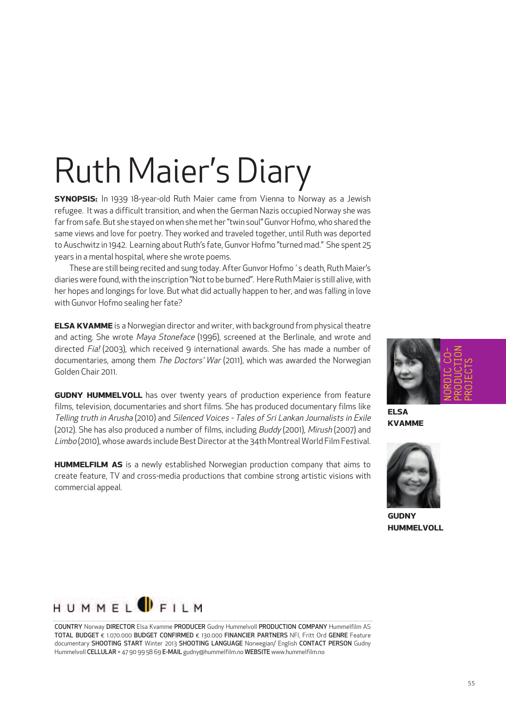# Ruth Maier's Diary

**synOPsis:** In 1939 18-year-old Ruth Maier came from Vienna to Norway as a Jewish refugee. It was a difficult transition, and when the German Nazis occupied Norway she was far from safe. But she stayed on when she met her "twin soul" Gunvor Hofmo, who shared the same views and love for poetry. They worked and traveled together, until Ruth was deported to Auschwitz in 1942. Learning about Ruth's fate, Gunvor Hofmo "turned mad." She spent 25 years in a mental hospital, where she wrote poems.

These are still being recited and sung today. After Gunvor Hofmo´s death, Ruth Maier's diaries were found, with the inscription "Notto be burned". HereRuth Maieris still alive, with her hopes and longings for love. But what did actually happen to her, and was falling in love with Gunvor Hofmo sealing her fate?

**ELSA KVAMME** is a Norwegian director and writer, with background from physical theatre and acting. She wrote Maya Stoneface (1996), screened at the Berlinale, and wrote and directed Fia! (2003), which received 9 international awards. She has made a number of documentaries, among them The Doctors' War (2011), which was awarded the Norwegian Golden Chair 2011.

**GUDNY HUMMELVOLL** has over twenty years of production experience from feature films, television, documentaries and short films. She has produced documentary films like Telling truth in Arusha (2010) and Silenced Voices - Tales of Sri Lankan Journalists in Exile (2012). She has also produced a number of films, including Buddy (2001), Mirush (2007) and Limbo (2010), whose awards include Best Director at the 34th Montreal World Film Festival.

**hummelfilm as** is a newly established Norwegian production company that aims to create feature, TV and cross-media productions that combine strong artistic visions with commercial appeal.



**elsa Kvamme**



**GUDNY hummelvOll**



COUNTRY Norway DIRECTOR Elsa Kvamme PRODUCER Gudny Hummelvoll PRODUCTION COMPANY Hummelfilm AS TOTAL BUDGET € 1.070.000 BUDGET CONFIRMED € 130.000 FINANCIER PARTNERS NFI, Fritt Ord GENRE Feature documentary SHOOTING START Winter 2013 SHOOTING LANGUAGE Norwegian/ English CONTACT PERSON Gudny Hummelvoll CELLULAR + 47 90 99 58 69 E-MAIL gudny@hummelfilm.no WEBSITE www.hummelfilm.no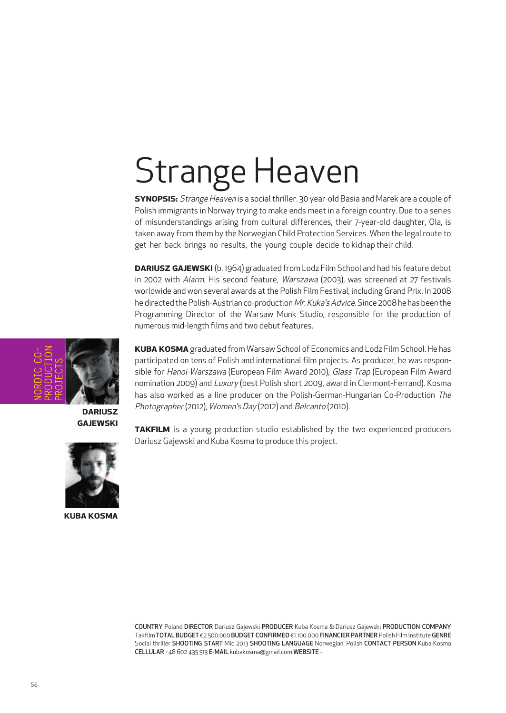# Strange Heaven

**SYNOPSIS:** Strange Heaven is a social thriller. 30 year-old Basia and Marek are a couple of Polish immigrants in Norway trying to make ends meet in a foreign country. Due to a series of misunderstandings arising from cultural differences, their 7-year-old daughter, Ola, is taken away from them by the Norwegian Child Protection Services. When the legal route to get her back brings no results, the young couple decide to kidnap their child.

**DARIUSZ GAJEWSKI** (b. 1964) graduated from Lodz Film School and had his feature debut in 2002 with Alarm. His second feature, Warszawa (2003), was screened at 27 festivals worldwide and won several awards at the Polish Film Festival, including Grand Prix. In 2008 he directed the Polish-Austrian co-production Mr. Kuka's Advice. Since 2008 he has been the Programming Director of the Warsaw Munk Studio, responsible for the production of numerous mid-length films and two debut features.



**DariusZ gaJeWsKi**

**Kuba KOsma**

**Kuba KOsma** graduated from Warsaw School of Economics and Lodz Film School. He has participated on tens of Polish and international film projects. As producer, he was responsible for Hanoi-Warszawa (European Film Award 2010), Glass Trap (European Film Award nomination 2009) and Luxury (best Polish short 2009, award in Clermont-Ferrand). Kosma has also worked as a line producer on the Polish-German-Hungarian Co-Production The Photographer (2012), Women's Day (2012) and Belcanto (2010).

**taKfilm** is a young production studio established by the two experienced producers Dariusz Gajewski and Kuba Kosma to produce this project.

COUNTRY Poland DIRECTOR Dariusz Gajewski PRODUCER Kuba Kosma & Dariusz Gajewski PRODUCTION COMPANY TakfilmTOTAL BUDGET €2.500.000 BUDGET CONFIRMED€1.100.000 FINANCIER PARTNER Polish FilmInstituteGENRE Social thriller SHOOTING START Mid 2013 SHOOTING LANGUAGE Norwegian, Polish CONTACT PERSON Kuba Kosma CELLULAR +48 602 435 513 E-MAIL kubakosma@gmail.com WEBSITE -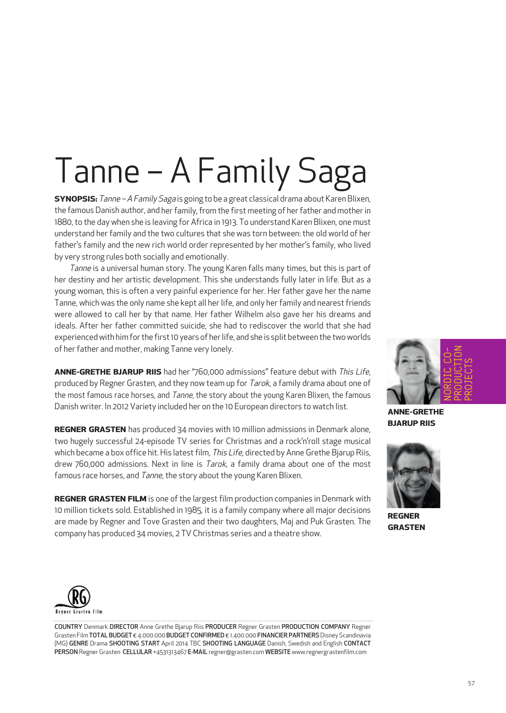# Tanne – A Family Saga

**synOPSIS:** Tanne – A Family Saga is going to be a great classical drama about Karen Blixen, the famous Danish author, and her family, from the first meeting of her father and mother in 1880, to the day when she is leaving for Africa in 1913. To understand Karen Blixen, one must understand her family and the two cultures that she was torn between: the old world of her father's family and the new rich world order represented by her mother's family, who lived by very strong rules both socially and emotionally.

Tanne is a universal human story. The young Karen falls many times, but this is part of her destiny and her artistic development. This she understands fully later in life. But as a young woman, this is often a very painful experience for her. Her father gave her the name Tanne, which was the only name she kept all her life, and only her family and nearest friends were allowed to call her by that name. Her father Wilhelm also gave her his dreams and ideals. After her father committed suicide, she had to rediscover the world that she had experienced with himforthe first10 years of herlife, and she is split between the two worlds of her father and mother, making Tanne very lonely.

**anne-grethe bJaruP riis** had her "760,000 admissions" feature debut with This Life, produced by Regner Grasten, and they now team up for Tarok, a family drama about one of the most famous race horses, and Tanne, the story about the young Karen Blixen, the famous Danish writer. In 2012 Variety included her on the 10 European directors to watch list.

**REGNER GRASTEN** has produced 34 movies with 10 million admissions in Denmark alone, two hugely successful 24-episode TV series for Christmas and a rock'n'roll stage musical which became a box office hit. His latest film, This Life, directed by Anne Grethe Bjarup Riis, drew 760,000 admissions. Next in line is Tarok, a family drama about one of the most famous race horses, and Tanne, the story about the young Karen Blixen.

**regner grasten film** is one of the largest film production companies in Denmark with 10 million tickets sold. Established in 1985, it is a family company where all major decisions are made by Regner and Tove Grasten and their two daughters, Maj and Puk Grasten. The company has produced 34 movies, 2 TV Christmas series and a theatre show.



**anne-grethe bJaruP riis**



**regner grasten**



COUNTRY Denmark DIRECTOR Anne Grethe Bjarup Riis PRODUCER Regner Grasten PRODUCTION COMPANY Regner Grasten Film TOTAL BUDGET € 4.000.000 BUDGET CONFIRMED € 1.400.000 FINANCIER PARTNERS Disney Scandinavia (MG) GENRE Drama SHOOTING START April 2014 TBC SHOOTING LANGUAGE Danish, Swedish and English CONTACT PERSON Regner Grasten CELLULAR +4531313467 E-MAIL regner@grasten.com WEBSITE www.regnergrastenfilm.com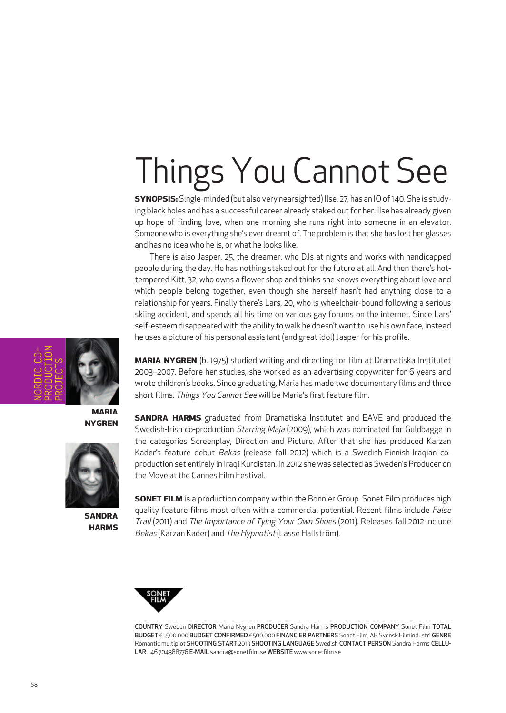# Things You Cannot See

**SYNOPSIS:** Single-minded (but also very nearsighted) Ilse, 27, has an IQ of 140. She is studying black holes and has a successful career already staked out for her. Ilse has already given up hope of finding love, when one morning she runs right into someone in an elevator. Someone who is everything she's ever dreamt of. The problem is that she has lost her glasses and has no idea who he is, or what he looks like.

There is also Jasper, 25, the dreamer, who DJs at nights and works with handicapped people during the day. He has nothing staked out for the future at all. And then there's hottempered Kitt, 32, who owns a flower shop and thinks she knows everything about love and which people belong together, even though she herself hasn't had anything close to a relationship for years. Finally there's Lars, 20, who is wheelchair-bound following a serious skiing accident, and spends all his time on various gay forums on the internet. Since Lars' self-esteem disappeared with the ability to walk he doesn't want to use his own face, instead he uses a picture of his personal assistant (and greatidol) Jasper for his profile.



**maria nygren**



**sanDra harms**

**MARIA NYGREN** (b. 1975) studied writing and directing for film at Dramatiska Institutet 2003–2007. Before her studies, she worked as an advertising copywriter for 6 years and wrote children's books. Since graduating, Maria has made two documentary films and three short films. Things You Cannot See will be Maria's first feature film.

**SANDRA HARMS** graduated from Dramatiska Institutet and EAVE and produced the Swedish-Irish co-production Starring Maja (2009), which was nominated for Guldbagge in the categories Screenplay, Direction and Picture. After that she has produced Karzan Kader's feature debut Bekas (release fall 2012) which is a Swedish-Finnish-Iragian coproduction set entirely in Iraqi Kurdistan. In 2012 she was selected as Sweden's Producer on the Move at the Cannes Film Festival.

**SONET FILM** is a production company within the Bonnier Group. Sonet Film produces high quality feature films most often with a commercial potential. Recent films include False Trail (2011) and The Importance of Tying Your Own Shoes (2011). Releases fall 2012 include Bekas (Karzan Kader) and The Hypnotist(Lasse Hallström).



COUNTRY Sweden DIRECTOR Maria Nygren PRODUCER Sandra Harms PRODUCTION COMPANY Sonet Film TOTAL BUDGET €1.500.000 BUDGET CONFIRMED €500.000 FINANCIER PARTNERS Sonet Film, AB Svensk Filmindustri GENRE Romantic multiplot SHOOTING START 2013 SHOOTING LANGUAGE Swedish CONTACT PERSON Sandra Harms CELLU-LAR +46 704388776 E-MAIL sandra@sonetfilm.se WEBSITE www.sonetfilm.se